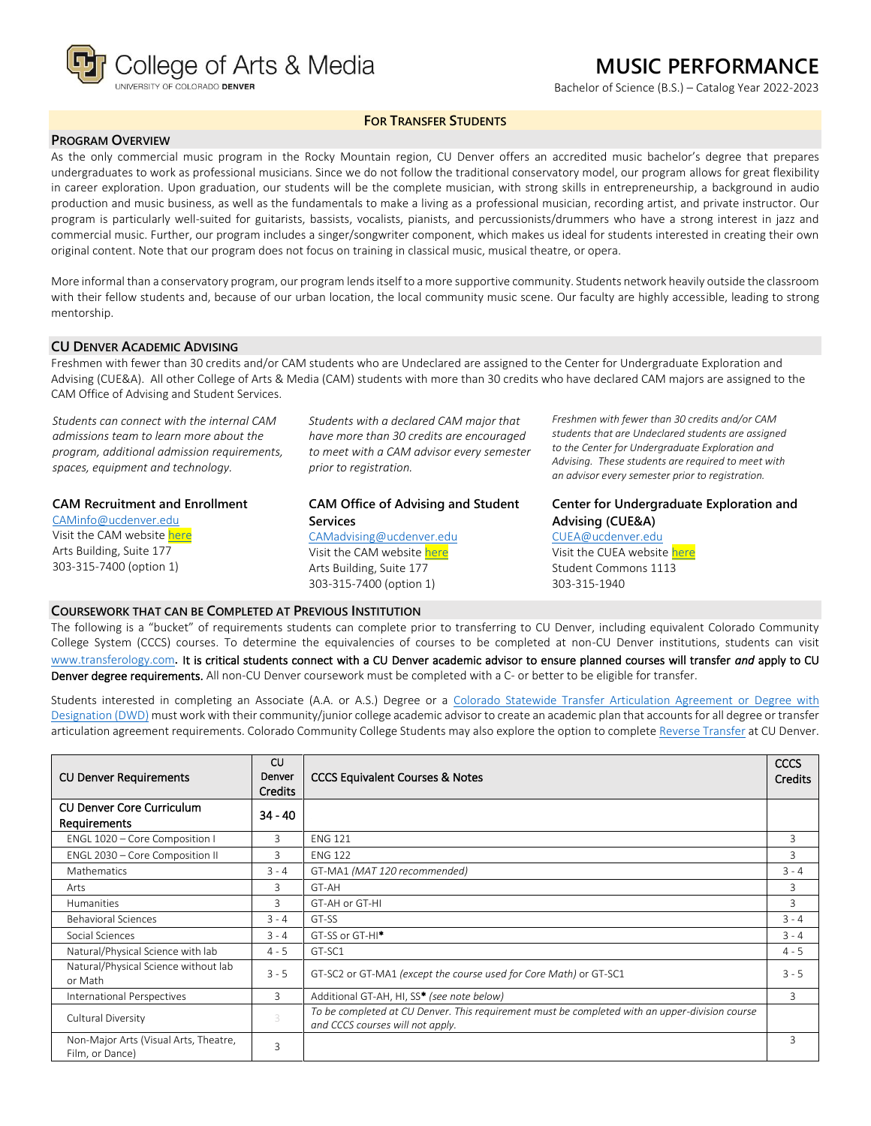

# **MUSIC PERFORMANCE**

Bachelor of Science (B.S.) – Catalog Year 2022-2023

# **FOR TRANSFER STUDENTS**

# **PROGRAM OVERVIEW**

As the only commercial music program in the Rocky Mountain region, CU Denver offers an accredited music bachelor's degree that prepares undergraduates to work as professional musicians. Since we do not follow the traditional conservatory model, our program allows for great flexibility in career exploration. Upon graduation, our students will be the complete musician, with strong skills in entrepreneurship, a background in audio production and music business, as well as the fundamentals to make a living as a professional musician, recording artist, and private instructor. Our program is particularly well-suited for guitarists, bassists, vocalists, pianists, and percussionists/drummers who have a strong interest in jazz and commercial music. Further, our program includes a singer/songwriter component, which makes us ideal for students interested in creating their own original content. Note that our program does not focus on training in classical music, musical theatre, or opera.

More informal than a conservatory program, our program lends itself to a more supportive community. Students network heavily outside the classroom with their fellow students and, because of our urban location, the local community music scene. Our faculty are highly accessible, leading to strong mentorship.

## **CU DENVER ACADEMIC ADVISING**

Freshmen with fewer than 30 credits and/or CAM students who are Undeclared are assigned to the Center for Undergraduate Exploration and Advising (CUE&A). All other College of Arts & Media (CAM) students with more than 30 credits who have declared CAM majors are assigned to the CAM Office of Advising and Student Services.

*Students can connect with the internal CAM admissions team to learn more about the program, additional admission requirements, spaces, equipment and technology.*

#### **CAM Recruitment and Enrollment**

[CAMinfo@ucdenver.edu](mailto:CAMinfo@ucdenver.edu) Visit the CAM websit[e here](https://artsandmedia.ucdenver.edu/prospective-students/prospective-students) Arts Building, Suite 177 303-315-7400 (option 1)

*Students with a declared CAM major that have more than 30 credits are encouraged to meet with a CAM advisor every semester prior to registration.*

## **CAM Office of Advising and Student Services** [CAMadvising@ucdenver.edu](mailto:CAMadvising@ucdenver.edu)

Visit the CAM websit[e here](https://artsandmedia.ucdenver.edu/current-students/about-academic-advising) Arts Building, Suite 177 303-315-7400 (option 1)

*Freshmen with fewer than 30 credits and/or CAM students that are Undeclared students are assigned to the Center for Undergraduate Exploration and Advising. These students are required to meet with an advisor every semester prior to registration.*

**Center for Undergraduate Exploration and Advising (CUE&A)**

[CUEA@ucdenver.edu](mailto:CUEA@ucdenver.edu) Visit the CUEA websit[e here](https://www.ucdenver.edu/center-for-undergraduate-exploration-and-advising) Student Commons 1113 303-315-1940

#### **COURSEWORK THAT CAN BE COMPLETED AT PREVIOUS INSTITUTION**

The following is a "bucket" of requirements students can complete prior to transferring to CU Denver, including equivalent Colorado Community College System (CCCS) courses. To determine the equivalencies of courses to be completed at non-CU Denver institutions, students can visit [www.transferology.com](http://www.transferology.com/)**.** It is critical students connect with a CU Denver academic advisor to ensure planned courses will transfer *and* apply to CU Denver degree requirements. All non-CU Denver coursework must be completed with a C- or better to be eligible for transfer.

Students interested in completing an Associate (A.A. or A.S.) Degree or a Colorado Statewide Transfer Articulation Agreement or Degree with [Designation \(DWD\)](https://highered.colorado.gov/Academics/Transfers/TransferDegrees.html) must work with their community/junior college academic advisor to create an academic plan that accounts for all degree or transfer articulation agreement requirements. Colorado Community College Students may also explore the option to complet[e Reverse Transfer](https://degreewithinreach.wordpress.com/) at CU Denver.

| <b>CU Denver Requirements</b>                            | CU<br>Denver<br><b>Credits</b> | <b>CCCS Equivalent Courses &amp; Notes</b>                                                                                         | <b>CCCS</b><br><b>Credits</b> |
|----------------------------------------------------------|--------------------------------|------------------------------------------------------------------------------------------------------------------------------------|-------------------------------|
| <b>CU Denver Core Curriculum</b><br><b>Requirements</b>  | $34 - 40$                      |                                                                                                                                    |                               |
| ENGL 1020 - Core Composition I                           | 3                              | <b>ENG 121</b>                                                                                                                     | 3                             |
| ENGL 2030 - Core Composition II                          | 3                              | <b>ENG 122</b>                                                                                                                     | 3                             |
| Mathematics                                              | $3 - 4$                        | GT-MA1 (MAT 120 recommended)                                                                                                       | $3 - 4$                       |
| Arts                                                     | 3                              | GT-AH                                                                                                                              | 3                             |
| <b>Humanities</b>                                        | 3                              | GT-AH or GT-HI                                                                                                                     | 3                             |
| <b>Behavioral Sciences</b>                               | $3 - 4$                        | GT-SS                                                                                                                              | $3 - 4$                       |
| Social Sciences                                          | $3 - 4$                        | GT-SS or GT-HI <sup>*</sup>                                                                                                        | $3 - 4$                       |
| Natural/Physical Science with lab                        | $4 - 5$                        | GT-SC1                                                                                                                             | $4 - 5$                       |
| Natural/Physical Science without lab<br>or Math          | $3 - 5$                        | GT-SC2 or GT-MA1 (except the course used for Core Math) or GT-SC1                                                                  | $3 - 5$                       |
| International Perspectives                               | 3                              | Additional GT-AH, HI, SS* (see note below)                                                                                         | 3                             |
| Cultural Diversity                                       | 3                              | To be completed at CU Denver. This requirement must be completed with an upper-division course<br>and CCCS courses will not apply. |                               |
| Non-Major Arts (Visual Arts, Theatre,<br>Film, or Dance) | 3                              |                                                                                                                                    | 3                             |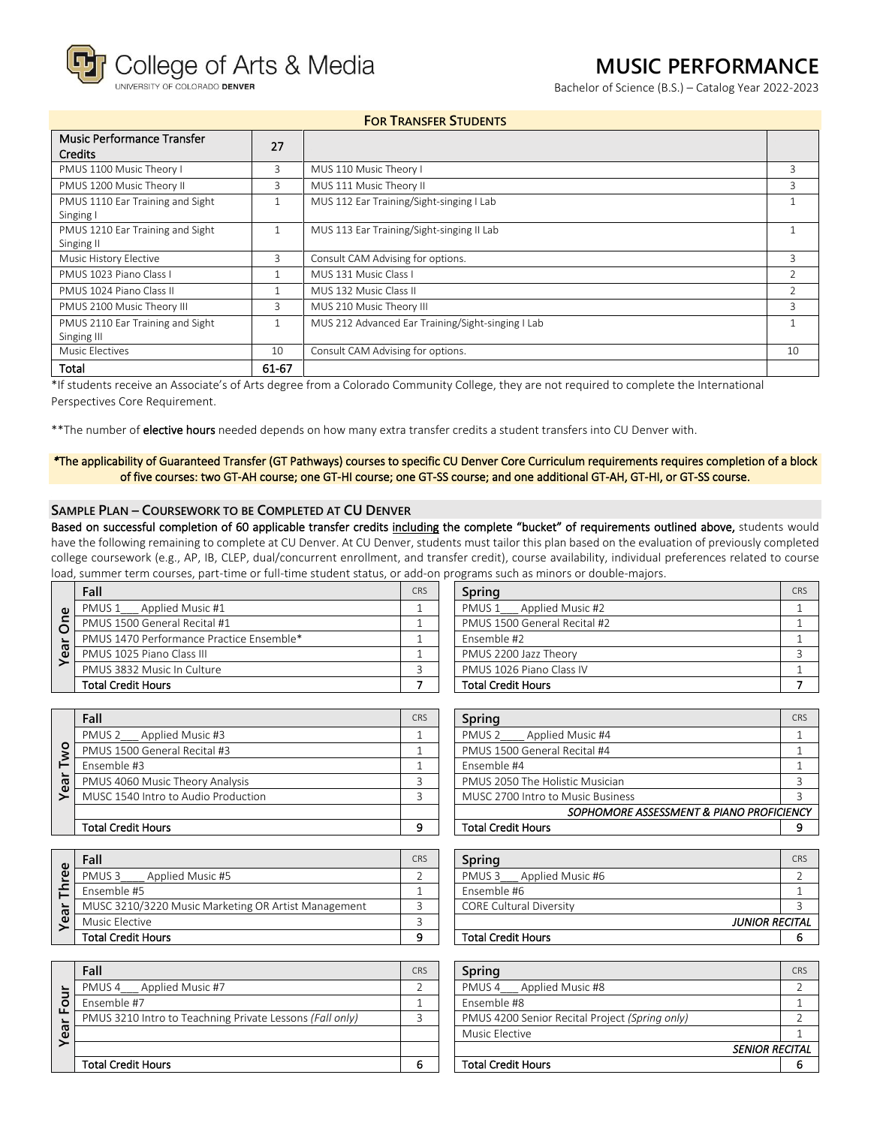College of Arts & Media

INIVERSITY OF COLORADO DENVER

# **MUSIC PERFORMANCE**

Bachelor of Science (B.S.) – Catalog Year 2022-2023

| <b>FOR TRANSFER STUDENTS</b> |  |
|------------------------------|--|
|------------------------------|--|

| <b>Music Performance Transfer</b><br><b>Credits</b> | 27    |                                                   |    |
|-----------------------------------------------------|-------|---------------------------------------------------|----|
| PMUS 1100 Music Theory I                            | 3     | MUS 110 Music Theory I                            | Β  |
| PMUS 1200 Music Theory II                           | 3     | MUS 111 Music Theory II                           | 3  |
| PMUS 1110 Ear Training and Sight                    |       | MUS 112 Ear Training/Sight-singing I Lab          |    |
| Singing I                                           |       |                                                   |    |
| PMUS 1210 Ear Training and Sight                    | n     | MUS 113 Ear Training/Sight-singing II Lab         |    |
| Singing II                                          |       |                                                   |    |
| Music History Elective                              | 3     | Consult CAM Advising for options.                 | 3  |
| PMUS 1023 Piano Class I                             |       | MUS 131 Music Class L                             |    |
| PMUS 1024 Piano Class II                            |       | MUS 132 Music Class II                            |    |
| PMUS 2100 Music Theory III                          | 3     | MUS 210 Music Theory III                          | З  |
| PMUS 2110 Ear Training and Sight                    |       | MUS 212 Advanced Ear Training/Sight-singing I Lab |    |
| Singing III                                         |       |                                                   |    |
| Music Electives                                     | 10    | Consult CAM Advising for options.                 | 10 |
| Total                                               | 61-67 |                                                   |    |

\*If students receive an Associate's of Arts degree from a Colorado Community College, they are not required to complete the International Perspectives Core Requirement.

\*\*The number of elective hours needed depends on how many extra transfer credits a student transfers into CU Denver with.

*\**The applicability of Guaranteed Transfer (GT Pathways) courses to specific CU Denver Core Curriculum requirements requires completion of a block of five courses: two GT-AH course; one GT-HI course; one GT-SS course; and one additional GT-AH, GT-HI, or GT-SS course.

#### **SAMPLE PLAN – COURSEWORK TO BE COMPLETED AT CU DENVER**

Based on successful completion of 60 applicable transfer credits including the complete "bucket" of requirements outlined above, students would have the following remaining to complete at CU Denver. At CU Denver, students must tailor this plan based on the evaluation of previously completed college coursework (e.g., AP, IB, CLEP, dual/concurrent enrollment, and transfer credit), course availability, individual preferences related to course load, summer term courses, part-time or full-time student status, or add-on programs such as minors or double-majors.

| $\omega$ | Fall                                     | <b>CRS</b> | Spring                       | CRS |
|----------|------------------------------------------|------------|------------------------------|-----|
|          | PMUS 1 Applied Music #1                  |            | PMUS 1 Applied Music #2      |     |
| င်       | PMUS 1500 General Recital #1             |            | PMUS 1500 General Recital #2 |     |
|          | PMUS 1470 Performance Practice Ensemble* |            | Ensemble #2                  |     |
| ී        | PMUS 1025 Piano Class III                |            | PMUS 2200 Jazz Theory        |     |
|          | PMUS 3832 Music In Culture               |            | PMUS 1026 Piano Class IV     |     |
|          | <b>Total Credit Hours</b>                |            | <b>Total Credit Hours</b>    |     |

| Spring                       |  |  |
|------------------------------|--|--|
| PMUS 1 Applied Music #2      |  |  |
| PMUS 1500 General Recital #2 |  |  |
| Ensemble #2                  |  |  |
| PMUS 2200 Jazz Theory        |  |  |
| PMUS 1026 Piano Class IV     |  |  |
| <b>Total Credit Hours</b>    |  |  |

|                     | Fall                                | CRS | Spring                                  | CRS |
|---------------------|-------------------------------------|-----|-----------------------------------------|-----|
|                     | PMUS 2 Applied Music #3             |     | Applied Music #4<br>PMUS <sub>2</sub>   |     |
| o                   | PMUS 1500 General Recital #3        |     | PMUS 1500 General Recital #4            |     |
| <b>LD</b><br>Õ<br>≻ | Ensemble #3                         |     | Ensemble #4                             |     |
|                     | PMUS 4060 Music Theory Analysis     |     | PMUS 2050 The Holistic Musician         |     |
|                     | MUSC 1540 Intro to Audio Production |     | MUSC 2700 Intro to Music Business       |     |
|                     |                                     |     | SOPHOMORE ASSESSMENT & PIANO PROFICIENC |     |
|                     | <b>Total Credit Hours</b>           |     | <b>Total Credit Hours</b>               |     |

| Fall                                | <b>CRS</b> | Spring                                   | CRS |
|-------------------------------------|------------|------------------------------------------|-----|
| PMUS 2 Applied Music #3             |            | PMUS <sub>2</sub><br>Applied Music #4    |     |
| PMUS 1500 General Recital #3        |            | PMUS 1500 General Recital #4             |     |
| Ensemble #3                         |            | Ensemble #4                              |     |
| PMUS 4060 Music Theory Analysis     |            | PMUS 2050 The Holistic Musician          |     |
| MUSC 1540 Intro to Audio Production |            | MUSC 2700 Intro to Music Business        |     |
|                                     |            | SOPHOMORE ASSESSMENT & PIANO PROFICIENCY |     |
| Total Credit Hours                  | ົ          | <b>Total Credit Hours</b>                |     |
|                                     |            |                                          |     |

| မို့<br>ea | Fall                                                |  |  |
|------------|-----------------------------------------------------|--|--|
|            | Applied Music #5<br>PMUS <sub>3</sub>               |  |  |
|            | Ensemble #5                                         |  |  |
|            | MUSC 3210/3220 Music Marketing OR Artist Management |  |  |
|            | Music Elective                                      |  |  |
|            | <b>Total Credit Hours</b>                           |  |  |

| CR:                  |
|----------------------|
|                      |
|                      |
|                      |
|                      |
| <b>SENIOR RECITA</b> |
|                      |
|                      |

| CRS | Sprina                                | CRS                   |
|-----|---------------------------------------|-----------------------|
|     | Applied Music #6<br>PMUS <sub>3</sub> |                       |
|     | Ensemble #6                           |                       |
|     | <b>CORE Cultural Diversity</b>        |                       |
|     |                                       |                       |
|     | <b>Total Credit Hours</b>             |                       |
|     |                                       | <b>JUNIOR RECITAL</b> |

| Fall                                                     | CRS | Spring                                         | CRS |
|----------------------------------------------------------|-----|------------------------------------------------|-----|
| PMUS 4<br>Applied Music #7                               |     | Applied Music #8<br>PMUS <sub>4</sub>          |     |
| Ensemble #7                                              |     | Ensemble #8                                    |     |
| PMUS 3210 Intro to Teachning Private Lessons (Fall only) |     | PMUS 4200 Senior Recital Project (Spring only) |     |
|                                                          |     | Music Elective                                 |     |
|                                                          |     | <b>SENIOR RECITAL</b>                          |     |
| Total Credit Hours                                       | 6   | <b>Total Credit Hours</b>                      |     |